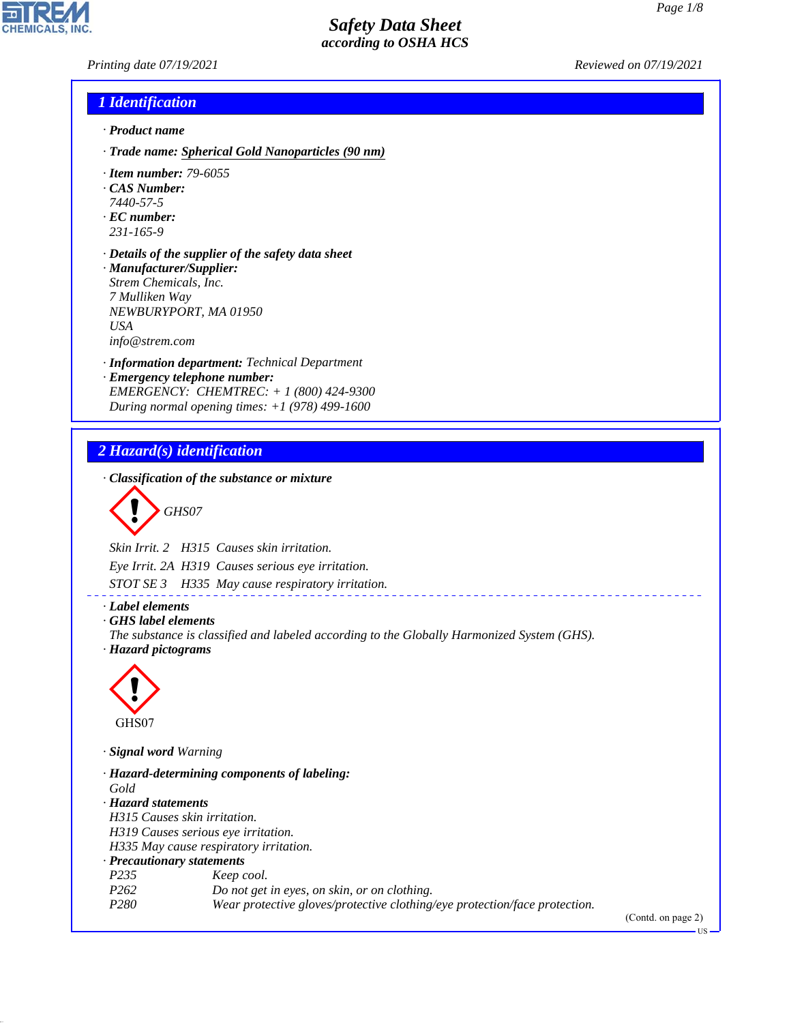*Printing date 07/19/2021 Reviewed on 07/19/2021*

## *1 Identification*

- *· Product name*
- *· Trade name: Spherical Gold Nanoparticles (90 nm)*
- *· Item number: 79-6055*
- *· CAS Number:*
- *7440-57-5*
- *· EC number: 231-165-9*
- *· Details of the supplier of the safety data sheet · Manufacturer/Supplier: Strem Chemicals, Inc. 7 Mulliken Way NEWBURYPORT, MA 01950 USA*

*info@strem.com*

- *· Information department: Technical Department*
- *· Emergency telephone number: EMERGENCY: CHEMTREC: + 1 (800) 424-9300 During normal opening times: +1 (978) 499-1600*

# *2 Hazard(s) identification*

*· Classification of the substance or mixture*

$$
\bigotimes \text{GHSO7}
$$

*Skin Irrit. 2 H315 Causes skin irritation.*

*Eye Irrit. 2A H319 Causes serious eye irritation.*

*STOT SE 3 H335 May cause respiratory irritation.*

*· Label elements*

*· GHS label elements*

*The substance is classified and labeled according to the Globally Harmonized System (GHS). · Hazard pictograms*

\_\_\_\_\_\_\_\_\_\_\_\_\_\_\_\_\_\_\_\_\_



44.1.1

*· Signal word Warning*

*· Hazard-determining components of labeling: Gold · Hazard statements H315 Causes skin irritation. H319 Causes serious eye irritation. H335 May cause respiratory irritation. · Precautionary statements P235 Keep cool. P262 Do not get in eyes, on skin, or on clothing. P280 Wear protective gloves/protective clothing/eye protection/face protection.*

(Contd. on page 2)

US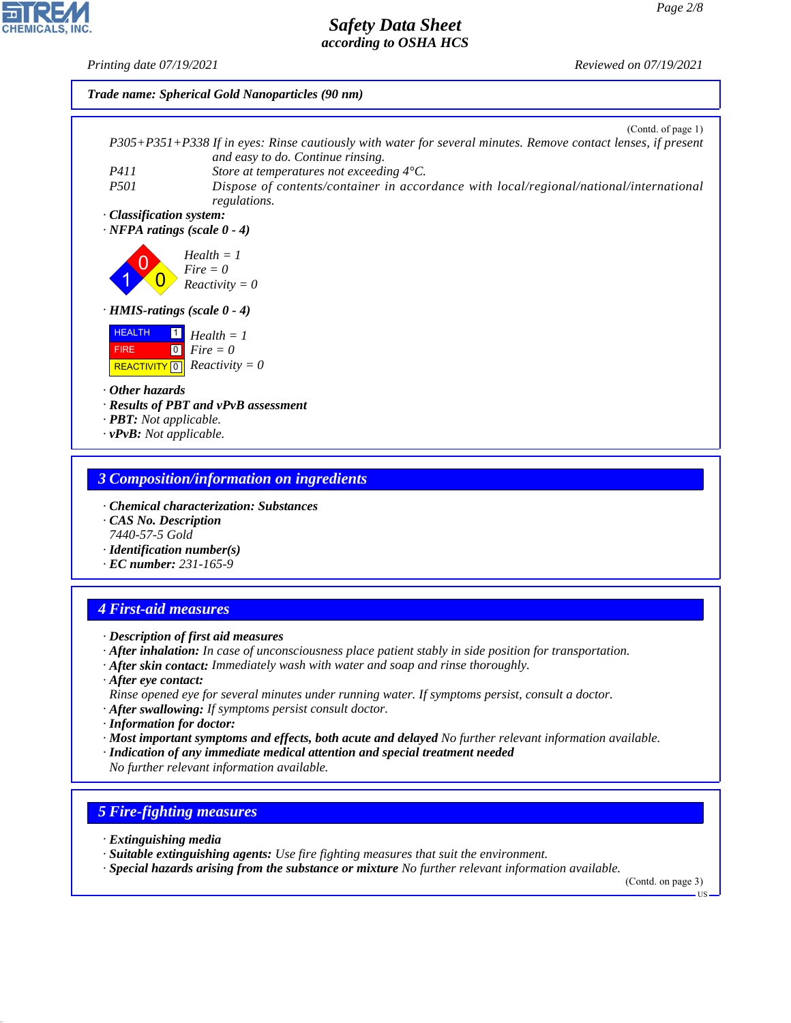*Printing date 07/19/2021 Reviewed on 07/19/2021*



### *3 Composition/information on ingredients*

- *· Chemical characterization: Substances*
- *· CAS No. Description 7440-57-5 Gold*
- *· Identification number(s)*
- *· EC number: 231-165-9*

### *4 First-aid measures*

- *· Description of first aid measures*
- *· After inhalation: In case of unconsciousness place patient stably in side position for transportation.*
- *· After skin contact: Immediately wash with water and soap and rinse thoroughly.*
- *· After eye contact: Rinse opened eye for several minutes under running water. If symptoms persist, consult a doctor.*
- *· After swallowing: If symptoms persist consult doctor.*
- *· Information for doctor:*
- *· Most important symptoms and effects, both acute and delayed No further relevant information available.*
- *· Indication of any immediate medical attention and special treatment needed No further relevant information available.*

## *5 Fire-fighting measures*

*· Extinguishing media*

44.1.1

- *· Suitable extinguishing agents: Use fire fighting measures that suit the environment.*
- *· Special hazards arising from the substance or mixture No further relevant information available.*

(Contd. on page 3)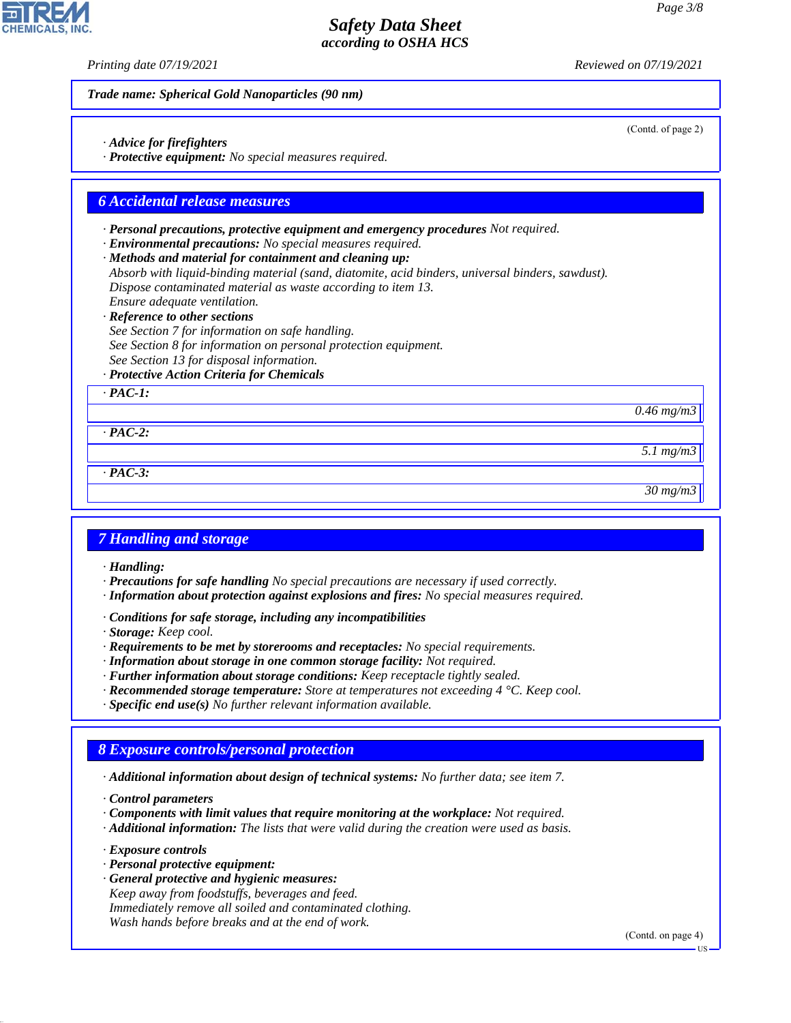(Contd. of page 2)

## *Safety Data Sheet according to OSHA HCS*

*Printing date 07/19/2021 Reviewed on 07/19/2021*

*Trade name: Spherical Gold Nanoparticles (90 nm)*

- *· Advice for firefighters*
- *· Protective equipment: No special measures required.*

### *6 Accidental release measures*

- *· Personal precautions, protective equipment and emergency procedures Not required.*
- *· Environmental precautions: No special measures required.*
- *· Methods and material for containment and cleaning up: Absorb with liquid-binding material (sand, diatomite, acid binders, universal binders, sawdust). Dispose contaminated material as waste according to item 13.*
- *Ensure adequate ventilation. · Reference to other sections*
- *See Section 7 for information on safe handling. See Section 8 for information on personal protection equipment. See Section 13 for disposal information.*
- *· Protective Action Criteria for Chemicals*

*· PAC-1:*

*0.46 mg/m3*

*· PAC-2:*

*· PAC-3:*

*30 mg/m3*

*5.1 mg/m3*

### *7 Handling and storage*

*· Handling:*

- *· Precautions for safe handling No special precautions are necessary if used correctly.*
- *· Information about protection against explosions and fires: No special measures required.*
- *· Conditions for safe storage, including any incompatibilities*
- *· Storage: Keep cool.*
- *· Requirements to be met by storerooms and receptacles: No special requirements.*
- *· Information about storage in one common storage facility: Not required.*
- *· Further information about storage conditions: Keep receptacle tightly sealed.*
- *· Recommended storage temperature: Store at temperatures not exceeding 4 °C. Keep cool.*
- *· Specific end use(s) No further relevant information available.*

## *8 Exposure controls/personal protection*

*· Additional information about design of technical systems: No further data; see item 7.*

*· Control parameters*

- *· Components with limit values that require monitoring at the workplace: Not required.*
- *· Additional information: The lists that were valid during the creation were used as basis.*

*· Exposure controls*

44.1.1

- *· Personal protective equipment:*
- *· General protective and hygienic measures: Keep away from foodstuffs, beverages and feed. Immediately remove all soiled and contaminated clothing. Wash hands before breaks and at the end of work.*

(Contd. on page 4)

US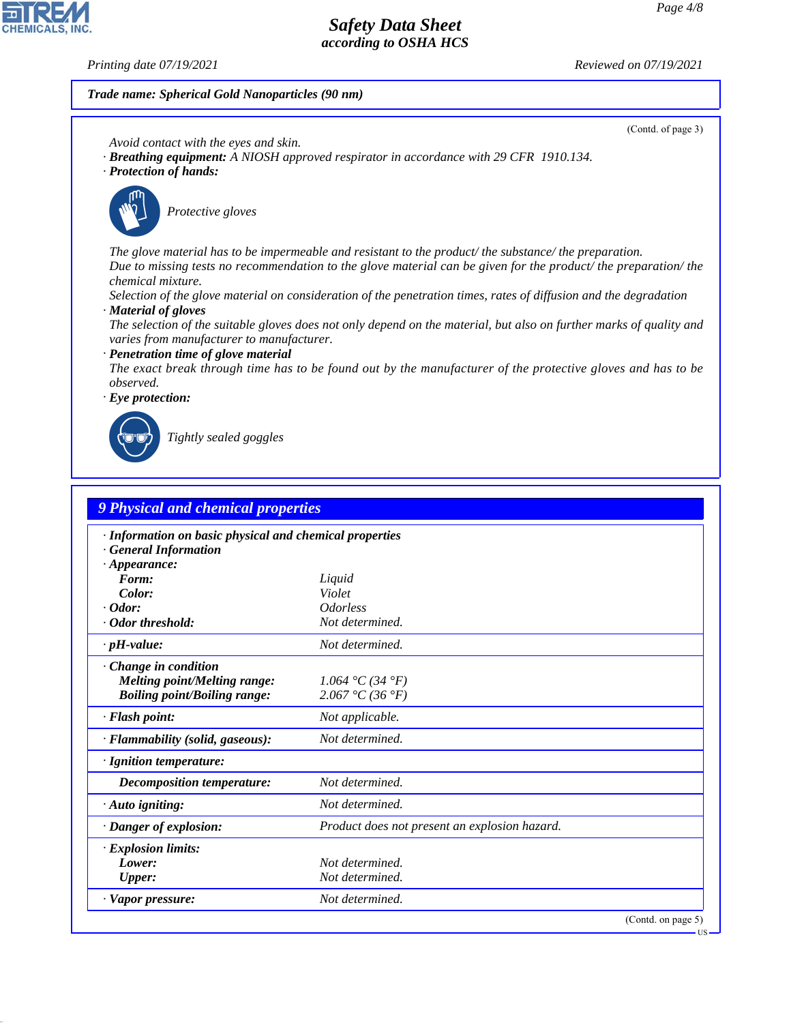**CHEMICALS, INC** 

44.1.1

*Printing date 07/19/2021 Reviewed on 07/19/2021*

### *Trade name: Spherical Gold Nanoparticles (90 nm)*



| 9 Physical and chemical properties                                                    |                                               |  |
|---------------------------------------------------------------------------------------|-----------------------------------------------|--|
| · Information on basic physical and chemical properties<br><b>General Information</b> |                                               |  |
| $\cdot$ Appearance:                                                                   |                                               |  |
| Form:                                                                                 | Liquid                                        |  |
| Color:                                                                                | Violet                                        |  |
| $\cdot$ Odor:                                                                         | <i><u><b>Odorless</b></u></i>                 |  |
| · Odor threshold:                                                                     | Not determined.                               |  |
| $\cdot$ pH-value:                                                                     | Not determined.                               |  |
| Change in condition                                                                   |                                               |  |
| <b>Melting point/Melting range:</b>                                                   | 1.064 °C (34 °F)                              |  |
| <b>Boiling point/Boiling range:</b>                                                   | 2.067 °C (36 °F)                              |  |
| · Flash point:                                                                        | Not applicable.                               |  |
| · Flammability (solid, gaseous):                                                      | Not determined.                               |  |
| · Ignition temperature:                                                               |                                               |  |
| Decomposition temperature:                                                            | Not determined.                               |  |
| $\cdot$ Auto igniting:                                                                | Not determined.                               |  |
| · Danger of explosion:                                                                | Product does not present an explosion hazard. |  |
| <b>Explosion limits:</b>                                                              |                                               |  |
| Lower:                                                                                | Not determined.                               |  |
| Upper:                                                                                | Not determined.                               |  |
| · Vapor pressure:                                                                     | Not determined.                               |  |
|                                                                                       | (Contd. on page 5)                            |  |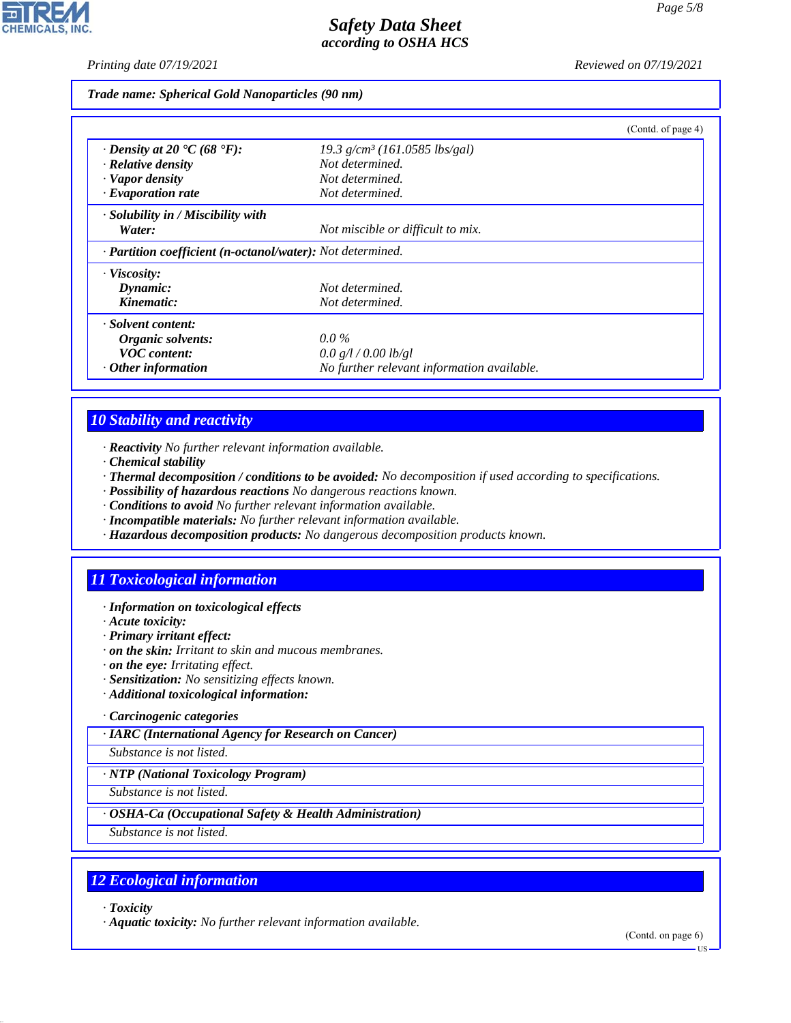*Printing date 07/19/2021 Reviewed on 07/19/2021*

*Trade name: Spherical Gold Nanoparticles (90 nm)*

|                                                                         |                                             | (Contd. of page 4) |
|-------------------------------------------------------------------------|---------------------------------------------|--------------------|
| $\cdot$ Density at 20 $\textdegree$ C (68 $\textdegree$ F):             | $19.3$ g/cm <sup>3</sup> (161.0585 lbs/gal) |                    |
| $\cdot$ Relative density                                                | Not determined.                             |                    |
| · Vapor density                                                         | Not determined.                             |                    |
| $\cdot$ Evaporation rate                                                | Not determined.                             |                    |
| · Solubility in / Miscibility with                                      |                                             |                    |
| Water:                                                                  | Not miscible or difficult to mix.           |                    |
| $\cdot$ <b>Partition coefficient (n-octanol/water):</b> Not determined. |                                             |                    |
| · Viscosity:                                                            |                                             |                    |
| Dynamic:                                                                | Not determined.                             |                    |
| Kinematic:                                                              | Not determined.                             |                    |
| · Solvent content:                                                      |                                             |                    |
| Organic solvents:                                                       | $0.0\%$                                     |                    |
| <b>VOC</b> content:                                                     | 0.0 g/l / 0.00 lb/gl                        |                    |
| $\cdot$ Other information                                               | No further relevant information available.  |                    |

## *10 Stability and reactivity*

*· Reactivity No further relevant information available.*

- *· Chemical stability*
- *· Thermal decomposition / conditions to be avoided: No decomposition if used according to specifications.*
- *· Possibility of hazardous reactions No dangerous reactions known.*
- *· Conditions to avoid No further relevant information available.*
- *· Incompatible materials: No further relevant information available.*
- *· Hazardous decomposition products: No dangerous decomposition products known.*

# *11 Toxicological information*

### *· Information on toxicological effects*

- *· Acute toxicity:*
- *· Primary irritant effect:*
- *· on the skin: Irritant to skin and mucous membranes.*
- *· on the eye: Irritating effect.*
- *· Sensitization: No sensitizing effects known.*
- *· Additional toxicological information:*
- *· Carcinogenic categories*

*· IARC (International Agency for Research on Cancer)*

*Substance is not listed.*

*· NTP (National Toxicology Program)*

*Substance is not listed.*

### *· OSHA-Ca (Occupational Safety & Health Administration)*

*Substance is not listed.*

## *12 Ecological information*

*· Toxicity*

44.1.1

*· Aquatic toxicity: No further relevant information available.*

(Contd. on page 6)

US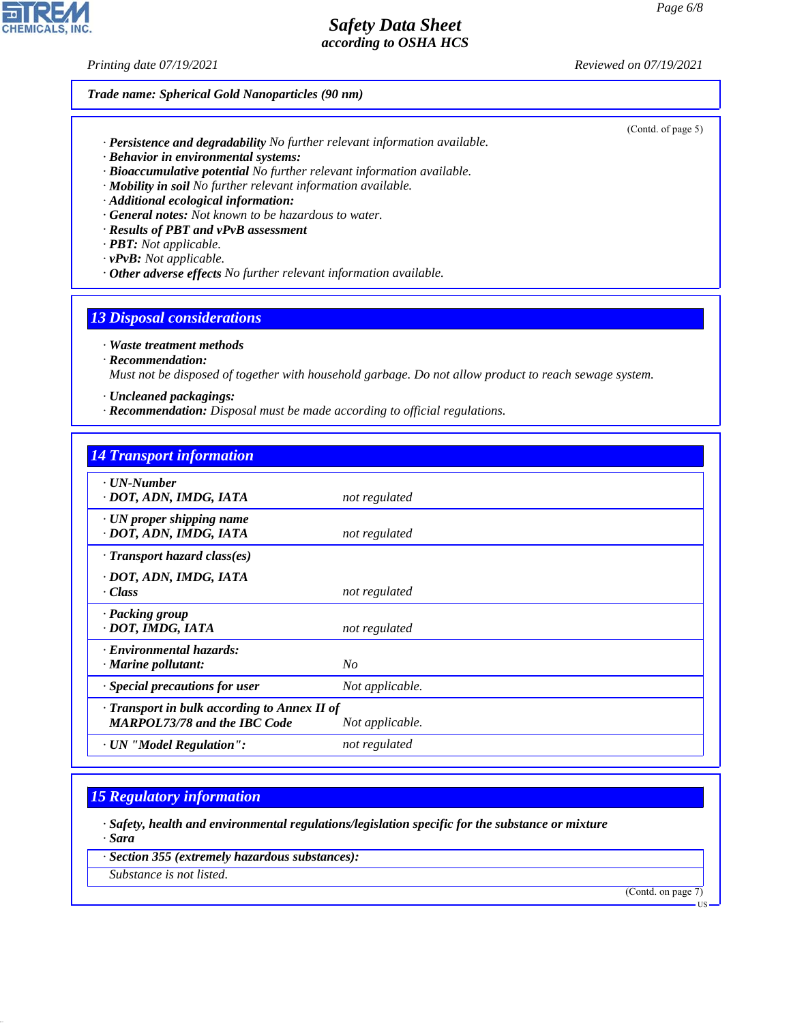*Printing date 07/19/2021 Reviewed on 07/19/2021*

### *Trade name: Spherical Gold Nanoparticles (90 nm)*

- *· Persistence and degradability No further relevant information available.*
- *· Behavior in environmental systems:*
- *· Bioaccumulative potential No further relevant information available.*
- *· Mobility in soil No further relevant information available.*
- *· Additional ecological information:*
- *· General notes: Not known to be hazardous to water.*
- *· Results of PBT and vPvB assessment*
- *· PBT: Not applicable.*
- *· vPvB: Not applicable.*
- *· Other adverse effects No further relevant information available.*

### *13 Disposal considerations*

*· Waste treatment methods*

*· Recommendation:*

*Must not be disposed of together with household garbage. Do not allow product to reach sewage system.*

*· Uncleaned packagings:*

*· Recommendation: Disposal must be made according to official regulations.*

### *14 Transport information*

| $\cdot$ UN-Number<br>· DOT, ADN, IMDG, IATA                                         | not regulated   |
|-------------------------------------------------------------------------------------|-----------------|
| $\cdot$ UN proper shipping name<br>· DOT, ADN, IMDG, IATA                           | not regulated   |
| $\cdot$ Transport hazard class(es)                                                  |                 |
| · DOT, ADN, IMDG, IATA<br>· Class                                                   | not regulated   |
| · Packing group<br>· DOT, IMDG, IATA                                                | not regulated   |
| · Environmental hazards:<br>$\cdot$ Marine pollutant:                               | No              |
| $\cdot$ Special precautions for user                                                | Not applicable. |
| · Transport in bulk according to Annex II of<br><b>MARPOL73/78 and the IBC Code</b> | Not applicable. |
| · UN "Model Regulation":                                                            | not regulated   |

### *15 Regulatory information*

*· Safety, health and environmental regulations/legislation specific for the substance or mixture · Sara*

*· Section 355 (extremely hazardous substances):*

*Substance is not listed.*

44.1.1

(Contd. on page 7)



(Contd. of page 5)

US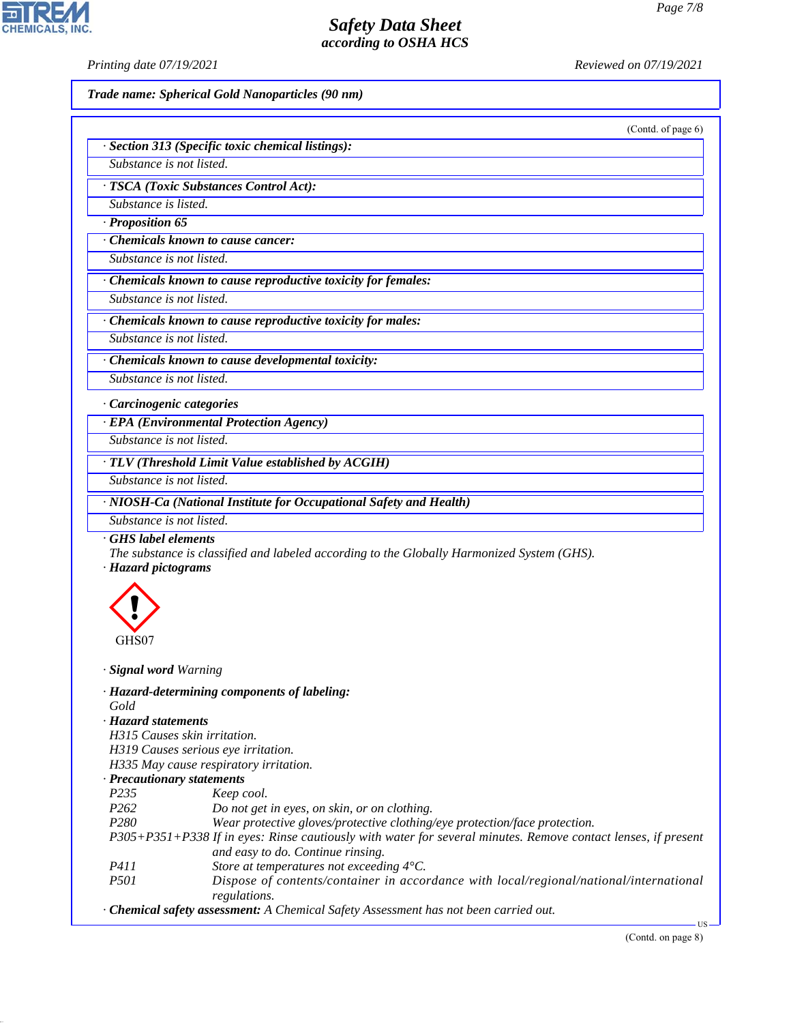**CHEMICALS, INC** 

*Printing date 07/19/2021 Reviewed on 07/19/2021*

*Trade name: Spherical Gold Nanoparticles (90 nm)*

(Contd. of page 6)

| · Section 313 (Specific toxic chemical listings): |  |
|---------------------------------------------------|--|
| Substance is not listed.                          |  |

*· TSCA (Toxic Substances Control Act):*

*Substance is listed.*

*· Proposition 65*

*· Chemicals known to cause cancer:*

*Substance is not listed.*

*· Chemicals known to cause reproductive toxicity for females:*

*Substance is not listed.*

*· Chemicals known to cause reproductive toxicity for males:*

*Substance is not listed.*

*· Chemicals known to cause developmental toxicity: Substance is not listed.*

*· Carcinogenic categories*

*· EPA (Environmental Protection Agency)*

*Substance is not listed.*

*· TLV (Threshold Limit Value established by ACGIH)*

*Substance is not listed.*

*· NIOSH-Ca (National Institute for Occupational Safety and Health)*

*Substance is not listed.*

*· GHS label elements*

*The substance is classified and labeled according to the Globally Harmonized System (GHS).*

*· Hazard pictograms*



44.1.1

*· Signal word Warning*

- *· Hazard-determining components of labeling: Gold · Hazard statements*
- *H315 Causes skin irritation.*
- *H319 Causes serious eye irritation.*
- *H335 May cause respiratory irritation.*

### *· Precautionary statements*

- *P235 Keep cool.*
- *P262 Do not get in eyes, on skin, or on clothing.*
- *P280 Wear protective gloves/protective clothing/eye protection/face protection.*

*P305+P351+P338 If in eyes: Rinse cautiously with water for several minutes. Remove contact lenses, if present and easy to do. Continue rinsing.*

- *P411 Store at temperatures not exceeding 4°C.*
- *P501 Dispose of contents/container in accordance with local/regional/national/international regulations.*
- *· Chemical safety assessment: A Chemical Safety Assessment has not been carried out.*

US